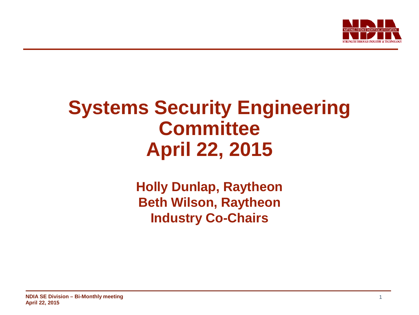

# **Systems Security Engineering Committee April 22, 2015**

**Holly Dunlap, Raytheon Beth Wilson, Raytheon Industry Co-Chairs**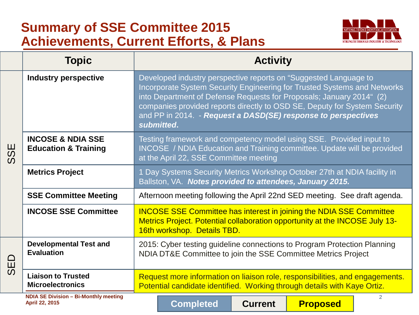# **Summary of SSE Committee 2015 Achievements, Current Efforts, & Plans**



|                 | <b>Topic</b>                                                    | <b>Activity</b>                                                                                                                                                                                                                                                                                                                                                                  |
|-----------------|-----------------------------------------------------------------|----------------------------------------------------------------------------------------------------------------------------------------------------------------------------------------------------------------------------------------------------------------------------------------------------------------------------------------------------------------------------------|
| 59<br>ၯ         | <b>Industry perspective</b>                                     | Developed industry perspective reports on "Suggested Language to<br>Incorporate System Security Engineering for Trusted Systems and Networks<br>into Department of Defense Requests for Proposals; January 2014" (2)<br>companies provided reports directly to OSD SE, Deputy for System Security<br>and PP in 2014. - Request a DASD(SE) response to perspectives<br>submitted. |
|                 | <b>INCOSE &amp; NDIA SSE</b><br><b>Education &amp; Training</b> | Testing framework and competency model using SSE. Provided input to<br>INCOSE / NDIA Education and Training committee. Update will be provided<br>at the April 22, SSE Committee meeting                                                                                                                                                                                         |
|                 | <b>Metrics Project</b>                                          | 1 Day Systems Security Metrics Workshop October 27th at NDIA facility in<br>Ballston, VA. Notes provided to attendees, January 2015.                                                                                                                                                                                                                                             |
|                 | <b>SSE Committee Meeting</b>                                    | Afternoon meeting following the April 22nd SED meeting. See draft agenda.                                                                                                                                                                                                                                                                                                        |
|                 | <b>INCOSE SSE Committee</b>                                     | <b>INCOSE SSE Committee has interest in joining the NDIA SSE Committee</b><br>Metrics Project. Potential collaboration opportunity at the INCOSE July 13-<br>16th workshop. Details TBD.                                                                                                                                                                                         |
| $\Omega$<br>SEI | <b>Developmental Test and</b><br><b>Evaluation</b>              | 2015: Cyber testing guideline connections to Program Protection Planning<br>NDIA DT&E Committee to join the SSE Committee Metrics Project                                                                                                                                                                                                                                        |
|                 | <b>Liaison to Trusted</b><br><b>Microelectronics</b>            | Request more information on liaison role, responsibilities, and engagements.<br>Potential candidate identified. Working through details with Kaye Ortiz.                                                                                                                                                                                                                         |
|                 | <b>NDIA SE Division - Bi-Monthly meeting</b><br>April 22, 2015  | 2<br><b>Completed</b><br><b>Proposed</b><br><b>Current</b>                                                                                                                                                                                                                                                                                                                       |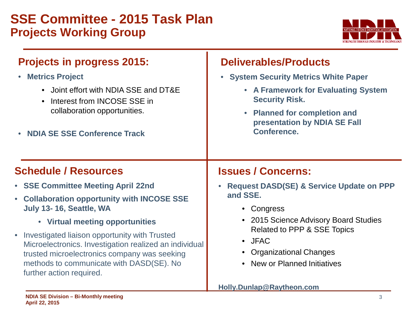# **SSE Committee - 2015 Task Plan Projects Working Group**



# **Projects in progress 2015:**

- **Metrics Project**
	- Joint effort with NDIA SSE and DT&E
	- Interest from INCOSE SSE in collaboration opportunities.
- **NDIA SE SSE Conference Track**

### **Deliverables/Products**

- **System Security Metrics White Paper** 
	- **A Framework for Evaluating System Security Risk.**
	- **Planned for completion and presentation by NDIA SE Fall Conference.**

## **Schedule / Resources**

- **SSE Committee Meeting April 22nd**
- **Collaboration opportunity with INCOSE SSE July 13- 16, Seattle, WA** 
	- **Virtual meeting opportunities**
- Investigated liaison opportunity with Trusted Microelectronics. Investigation realized an individual trusted microelectronics company was seeking methods to communicate with DASD(SE). No further action required.

## **Issues / Concerns:**

- **Request DASD(SE) & Service Update on PPP and SSE.**
	- Congress
	- 2015 Science Advisory Board Studies Related to PPP & SSE Topics
	- JFAC
	- Organizational Changes
	- New or Planned Initiatives

#### **Holly.Dunlap@Raytheon.com**